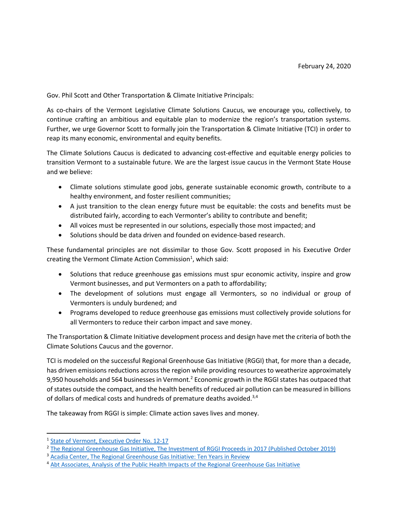Gov. Phil Scott and Other Transportation & Climate Initiative Principals:

As co-chairs of the Vermont Legislative Climate Solutions Caucus, we encourage you, collectively, to continue crafting an ambitious and equitable plan to modernize the region's transportation systems. Further, we urge Governor Scott to formally join the Transportation & Climate Initiative (TCI) in order to reap its many economic, environmental and equity benefits.

The Climate Solutions Caucus is dedicated to advancing cost-effective and equitable energy policies to transition Vermont to a sustainable future. We are the largest issue caucus in the Vermont State House and we believe:

- Climate solutions stimulate good jobs, generate sustainable economic growth, contribute to a healthy environment, and foster resilient communities;
- A just transition to the clean energy future must be equitable: the costs and benefits must be distributed fairly, according to each Vermonter's ability to contribute and benefit;
- All voices must be represented in our solutions, especially those most impacted; and
- Solutions should be data driven and founded on evidence-based research.

These fundamental principles are not dissimilar to those Gov. Scott proposed in his Executive Order creating the Vermont Climate Action Commission<sup>1</sup>, which said:

- Solutions that reduce greenhouse gas emissions must spur economic activity, inspire and grow Vermont businesses, and put Vermonters on a path to affordability;
- The development of solutions must engage all Vermonters, so no individual or group of Vermonters is unduly burdened; and
- Programs developed to reduce greenhouse gas emissions must collectively provide solutions for all Vermonters to reduce their carbon impact and save money.

The Transportation & Climate Initiative development process and design have met the criteria of both the Climate Solutions Caucus and the governor.

TCI is modeled on the successful Regional Greenhouse Gas Initiative (RGGI) that, for more than a decade, has driven emissions reductions across the region while providing resources to weatherize approximately 9,950 households and 564 businesses in Vermont.<sup>2</sup> Economic growth in the RGGI states has outpaced that of states outside the compact, and the health benefits of reduced air pollution can be measured in billions of dollars of medical costs and hundreds of premature deaths avoided.<sup>3,4</sup>

The takeaway from RGGI is simple: Climate action saves lives and money.

<sup>1</sup> State of Vermont, Executive Order No. 12-17

<sup>&</sup>lt;sup>2</sup> The Regional Greenhouse Gas Initiative, The Investment of RGGI Proceeds in 2017 (Published October 2019)

<sup>3</sup> Acadia Center, The Regional Greenhouse Gas Initiative: Ten Years in Review

<sup>4</sup> Abt Associates, Analysis of the Public Health Impacts of the Regional Greenhouse Gas Initiative